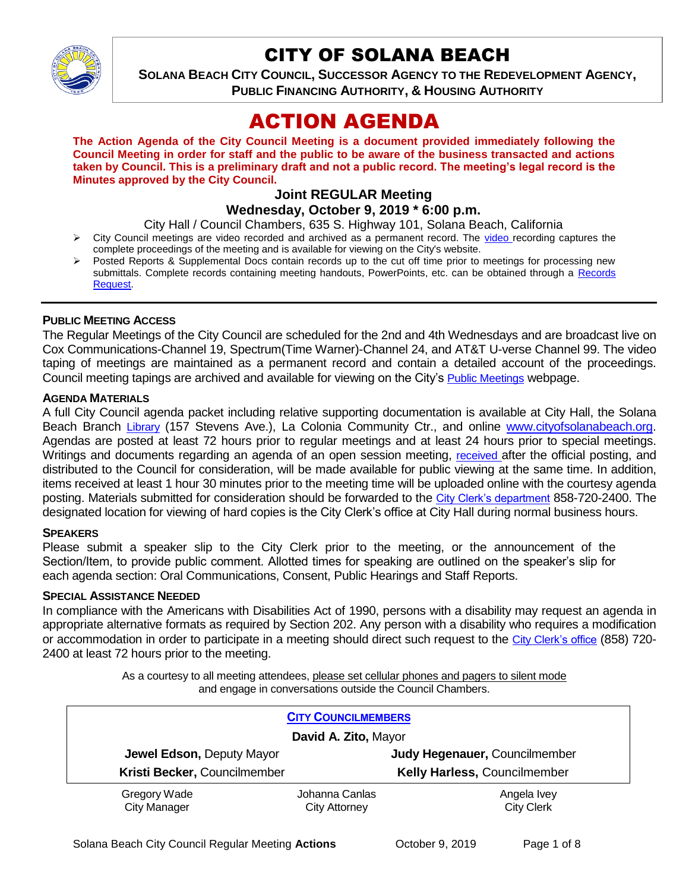

# CITY OF SOLANA BEACH

**SOLANA BEACH CITY COUNCIL, SUCCESSOR AGENCY TO THE REDEVELOPMENT AGENCY, PUBLIC FINANCING AUTHORITY, & HOUSING AUTHORITY** 

# ACTION AGENDA

**The Action Agenda of the City Council Meeting is a document provided immediately following the Council Meeting in order for staff and the public to be aware of the business transacted and actions taken by Council. This is a preliminary draft and not a public record. The meeting's legal record is the Minutes approved by the City Council.**

# **Joint REGULAR Meeting**

**Wednesday, October 9, 2019 \* 6:00 p.m.** 

City Hall / Council Chambers, 635 S. Highway 101, Solana Beach, California

- $\triangleright$  City Council meetings are [video r](https://solanabeach.12milesout.com/#page=1)ecorded and archived as a permanent record. The video recording captures the complete proceedings of the meeting and is available for viewing on the City's website.
- Posted Reports & Supplemental Docs contain records up to the cut off time prior to meetings for processing new submittals. Complete records containing meeting handouts, PowerPoints, etc. can be obtained through a Records [Request.](http://www.ci.solana-beach.ca.us/index.asp?SEC=F5D45D10-70CE-4291-A27C-7BD633FC6742&Type=B_BASIC)

#### **PUBLIC MEETING ACCESS**

The Regular Meetings of the City Council are scheduled for the 2nd and 4th Wednesdays and are broadcast live on Cox Communications-Channel 19, Spectrum(Time Warner)-Channel 24, and AT&T U-verse Channel 99. The video taping of meetings are maintained as a permanent record and contain a detailed account of the proceedings. Council meeting tapings are archived and available for viewing on the City's [Public Meetings](https://www.ci.solana-beach.ca.us/index.asp?SEC=F0F1200D-21C6-4A88-8AE1-0BC07C1A81A7&Type=B_BASIC) webpage.

#### **AGENDA MATERIALS**

A full City Council agenda packet including relative supporting documentation is available at City Hall, the Solana Beach Branch [Library](http://www.sdcl.org/locations_SB.html) (157 Stevens Ave.), La Colonia Community Ctr., and online [www.cityofsolanabeach.org.](http://www.cityofsolanabeach.org/) Agendas are posted at least 72 hours prior to regular meetings and at least 24 hours prior to special meetings. Writings and documents regarding an agenda of an open session meeting, [received](mailto:EMAILGRP-CityClerksOfc@cosb.org) after the official posting, and distributed to the Council for consideration, will be made available for public viewing at the same time. In addition, items received at least 1 hour 30 minutes prior to the meeting time will be uploaded online with the courtesy agenda posting. Materials submitted for consideration should be forwarded to the [City Clerk's department](mailto:EMAILGRP-CityClerksOfc@cosb.org) 858-720-2400. The designated location for viewing of hard copies is the City Clerk's office at City Hall during normal business hours.

#### **SPEAKERS**

Please submit a speaker slip to the City Clerk prior to the meeting, or the announcement of the Section/Item, to provide public comment. Allotted times for speaking are outlined on the speaker's slip for each agenda section: Oral Communications, Consent, Public Hearings and Staff Reports.

#### **SPECIAL ASSISTANCE NEEDED**

In compliance with the Americans with Disabilities Act of 1990, persons with a disability may request an agenda in appropriate alternative formats as required by Section 202. Any person with a disability who requires a modification or accommodation in order to participate in a meeting should direct such request to the [City Clerk's office](mailto:clerkadmin@cosb.org?subject=City%20Clerk%20Notice%20of%20Special%20Services%20Needed) (858) 720- 2400 at least 72 hours prior to the meeting.

> As a courtesy to all meeting attendees, please set cellular phones and pagers to silent mode and engage in conversations outside the Council Chambers.

| <b>CITY COUNCILMEMBERS</b>          |                                        |                                     |
|-------------------------------------|----------------------------------------|-------------------------------------|
| David A. Zito, Mayor                |                                        |                                     |
| <b>Jewel Edson, Deputy Mayor</b>    |                                        | Judy Hegenauer, Councilmember       |
| Kristi Becker, Councilmember        |                                        | <b>Kelly Harless, Councilmember</b> |
| Gregory Wade<br><b>City Manager</b> | Johanna Canlas<br><b>City Attorney</b> | Angela Ivey<br><b>City Clerk</b>    |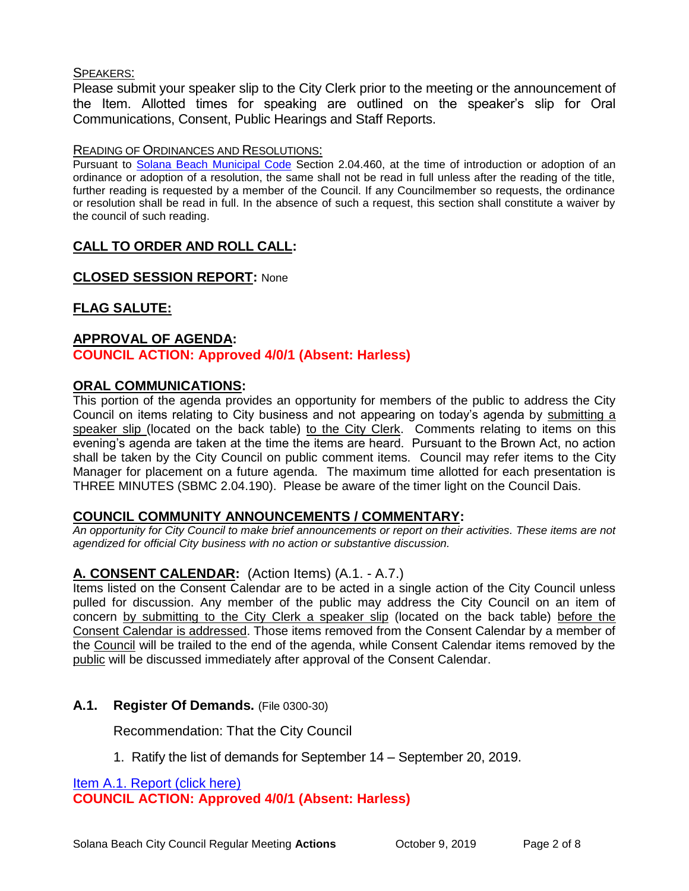#### SPEAKERS:

Please submit your speaker slip to the City Clerk prior to the meeting or the announcement of the Item. Allotted times for speaking are outlined on the speaker's slip for Oral Communications, Consent, Public Hearings and Staff Reports.

#### READING OF ORDINANCES AND RESOLUTIONS:

Pursuant to [Solana Beach Municipal Code](mailto:https://www.codepublishing.com/CA/SolanaBeach/) Section 2.04.460, at the time of introduction or adoption of an ordinance or adoption of a resolution, the same shall not be read in full unless after the reading of the title, further reading is requested by a member of the Council. If any Councilmember so requests, the ordinance or resolution shall be read in full. In the absence of such a request, this section shall constitute a waiver by the council of such reading.

# **CALL TO ORDER AND ROLL CALL:**

# **CLOSED SESSION REPORT:** None

# **FLAG SALUTE:**

# **APPROVAL OF AGENDA:**

**COUNCIL ACTION: Approved 4/0/1 (Absent: Harless)**

## **ORAL COMMUNICATIONS:**

This portion of the agenda provides an opportunity for members of the public to address the City Council on items relating to City business and not appearing on today's agenda by submitting a speaker slip (located on the back table) to the City Clerk. Comments relating to items on this evening's agenda are taken at the time the items are heard. Pursuant to the Brown Act, no action shall be taken by the City Council on public comment items. Council may refer items to the City Manager for placement on a future agenda. The maximum time allotted for each presentation is THREE MINUTES (SBMC 2.04.190). Please be aware of the timer light on the Council Dais.

## **COUNCIL COMMUNITY ANNOUNCEMENTS / COMMENTARY:**

*An opportunity for City Council to make brief announcements or report on their activities. These items are not agendized for official City business with no action or substantive discussion.* 

# **A. CONSENT CALENDAR:** (Action Items) (A.1. - A.7.)

Items listed on the Consent Calendar are to be acted in a single action of the City Council unless pulled for discussion. Any member of the public may address the City Council on an item of concern by submitting to the City Clerk a speaker slip (located on the back table) before the Consent Calendar is addressed. Those items removed from the Consent Calendar by a member of the Council will be trailed to the end of the agenda, while Consent Calendar items removed by the public will be discussed immediately after approval of the Consent Calendar.

## **A.1. Register Of Demands.** (File 0300-30)

Recommendation: That the City Council

1. Ratify the list of demands for September 14 – September 20, 2019.

[Item A.1. Report \(click here\)](https://solanabeach.govoffice3.com/vertical/Sites/%7B840804C2-F869-4904-9AE3-720581350CE7%7D/uploads/Item_A.1._Report_(click_here)_10-09-19_-_O.pdf) **COUNCIL ACTION: Approved 4/0/1 (Absent: Harless)**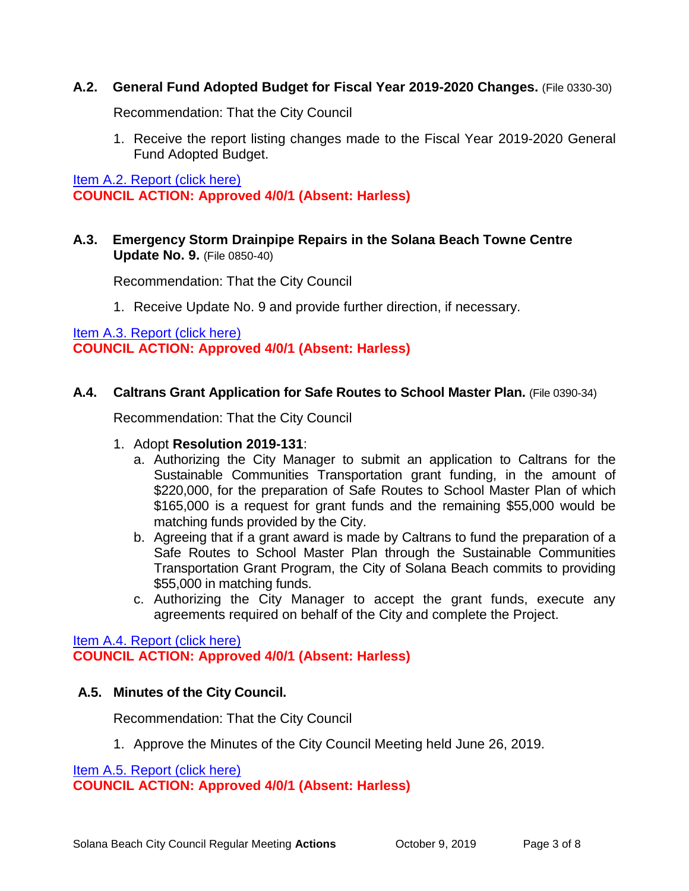## **A.2. General Fund Adopted Budget for Fiscal Year 2019-2020 Changes.** (File 0330-30)

Recommendation: That the City Council

1. Receive the report listing changes made to the Fiscal Year 2019-2020 General Fund Adopted Budget.

[Item A.2. Report \(click here\)](https://solanabeach.govoffice3.com/vertical/Sites/%7B840804C2-F869-4904-9AE3-720581350CE7%7D/uploads/Item_A.2._Report_(click_here)_10-09-19_-_O.pdf) **COUNCIL ACTION: Approved 4/0/1 (Absent: Harless)**

**A.3. Emergency Storm Drainpipe Repairs in the Solana Beach Towne Centre Update No. 9.** (File 0850-40)

Recommendation: That the City Council

1. Receive Update No. 9 and provide further direction, if necessary.

[Item A.3. Report \(click here\)](https://solanabeach.govoffice3.com/vertical/Sites/%7B840804C2-F869-4904-9AE3-720581350CE7%7D/uploads/Item_A.3._Report_(click_here)_10-09-19_-_O.pdf) **COUNCIL ACTION: Approved 4/0/1 (Absent: Harless)**

## **A.4. Caltrans Grant Application for Safe Routes to School Master Plan.** (File 0390-34)

Recommendation: That the City Council

- 1. Adopt **Resolution 2019-131**:
	- a. Authorizing the City Manager to submit an application to Caltrans for the Sustainable Communities Transportation grant funding, in the amount of \$220,000, for the preparation of Safe Routes to School Master Plan of which \$165,000 is a request for grant funds and the remaining \$55,000 would be matching funds provided by the City.
	- b. Agreeing that if a grant award is made by Caltrans to fund the preparation of a Safe Routes to School Master Plan through the Sustainable Communities Transportation Grant Program, the City of Solana Beach commits to providing \$55,000 in matching funds.
	- c. Authorizing the City Manager to accept the grant funds, execute any agreements required on behalf of the City and complete the Project.

[Item A.4. Report \(click here\)](https://solanabeach.govoffice3.com/vertical/Sites/%7B840804C2-F869-4904-9AE3-720581350CE7%7D/uploads/Item_A.4._Report_(click_here)_10-09-19_-_O.pdf) **COUNCIL ACTION: Approved 4/0/1 (Absent: Harless)**

## **A.5. Minutes of the City Council.**

Recommendation: That the City Council

1. Approve the Minutes of the City Council Meeting held June 26, 2019.

[Item A.5. Report \(click here\)](https://solanabeach.govoffice3.com/vertical/Sites/%7B840804C2-F869-4904-9AE3-720581350CE7%7D/uploads/Item_A.5._Report_(click_here)_10-09-19_-_O.pdf)

**COUNCIL ACTION: Approved 4/0/1 (Absent: Harless)**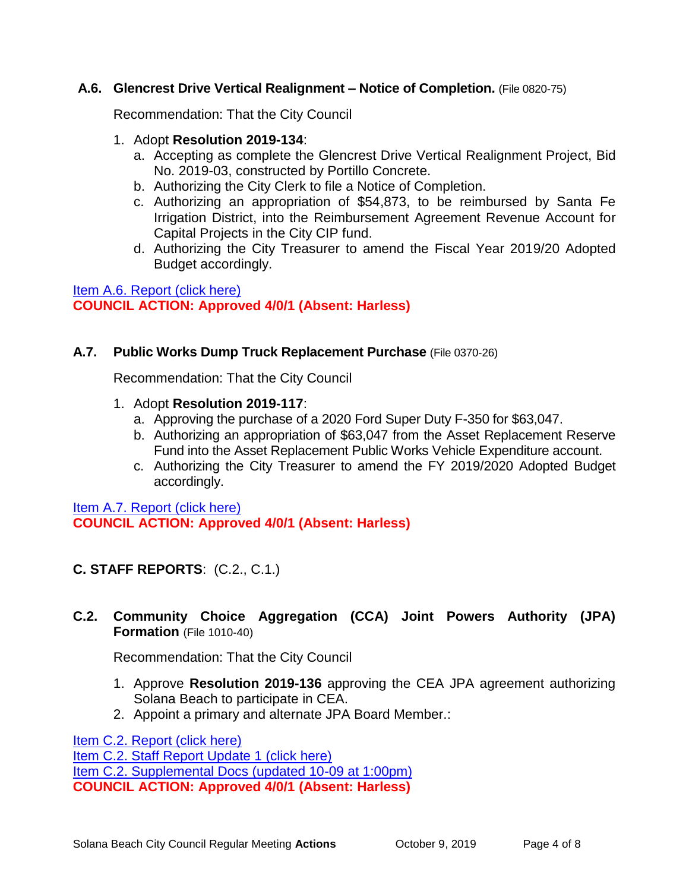## **A.6. Glencrest Drive Vertical Realignment – Notice of Completion.** (File 0820-75)

Recommendation: That the City Council

- 1. Adopt **Resolution 2019-134**:
	- a. Accepting as complete the Glencrest Drive Vertical Realignment Project, Bid No. 2019-03, constructed by Portillo Concrete.
	- b. Authorizing the City Clerk to file a Notice of Completion.
	- c. Authorizing an appropriation of \$54,873, to be reimbursed by Santa Fe Irrigation District, into the Reimbursement Agreement Revenue Account for Capital Projects in the City CIP fund.
	- d. Authorizing the City Treasurer to amend the Fiscal Year 2019/20 Adopted Budget accordingly.

[Item A.6. Report \(click here\)](https://solanabeach.govoffice3.com/vertical/Sites/%7B840804C2-F869-4904-9AE3-720581350CE7%7D/uploads/Item_A.6._Report_(click_here)_10-09-19_-_O.pdf) **COUNCIL ACTION: Approved 4/0/1 (Absent: Harless)**

#### **A.7. Public Works Dump Truck Replacement Purchase** (File 0370-26)

Recommendation: That the City Council

- 1. Adopt **Resolution 2019-117**:
	- a. Approving the purchase of a 2020 Ford Super Duty F-350 for \$63,047.
	- b. Authorizing an appropriation of \$63,047 from the Asset Replacement Reserve Fund into the Asset Replacement Public Works Vehicle Expenditure account.
	- c. Authorizing the City Treasurer to amend the FY 2019/2020 Adopted Budget accordingly.

[Item A.7. Report \(click here\)](https://solanabeach.govoffice3.com/vertical/Sites/%7B840804C2-F869-4904-9AE3-720581350CE7%7D/uploads/Item_A.7._Report_(click_here)_10-09-19_-_O.pdf) **COUNCIL ACTION: Approved 4/0/1 (Absent: Harless)**

# **C. STAFF REPORTS**: (C.2., C.1.)

## **C.2. Community Choice Aggregation (CCA) Joint Powers Authority (JPA) Formation** (File 1010-40)

Recommendation: That the City Council

- 1. Approve **Resolution 2019-136** approving the CEA JPA agreement authorizing Solana Beach to participate in CEA.
- 2. Appoint a primary and alternate JPA Board Member.:

[Item C.2. Report \(click here\)](https://solanabeach.govoffice3.com/vertical/Sites/%7B840804C2-F869-4904-9AE3-720581350CE7%7D/uploads/Item_C.2._Report_(click_here)_10-09-19_-_O.pdf)

[Item C.2. Staff Report Update 1 \(click here\)](https://solanabeach.govoffice3.com/vertical/Sites/%7B840804C2-F869-4904-9AE3-720581350CE7%7D/uploads/C.2._SR_Update_1-_CCA_JPA_Blue_Folder-O.pdf) [Item C.2. Supplemental Docs \(updated 10-09 at 1:00pm\)](https://solanabeach.govoffice3.com/vertical/Sites/%7B840804C2-F869-4904-9AE3-720581350CE7%7D/uploads/Item_C.2._Supplemental_Docs_(10-9_at_1pm).pdf) **COUNCIL ACTION: Approved 4/0/1 (Absent: Harless)**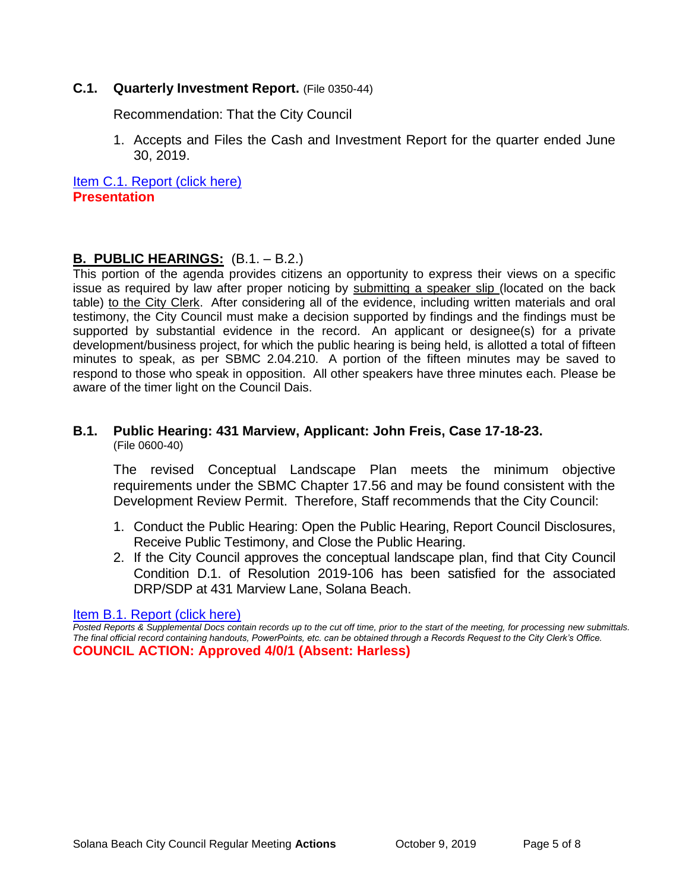## **C.1. Quarterly Investment Report.** (File 0350-44)

Recommendation: That the City Council

1. Accepts and Files the Cash and Investment Report for the quarter ended June 30, 2019.

[Item C.1. Report \(click here\)](https://solanabeach.govoffice3.com/vertical/Sites/%7B840804C2-F869-4904-9AE3-720581350CE7%7D/uploads/Item_C.1._Report_(click_here)_10-09-19_-_O.pdf) **Presentation**

#### **B. PUBLIC HEARINGS:** (B.1. – B.2.)

This portion of the agenda provides citizens an opportunity to express their views on a specific issue as required by law after proper noticing by submitting a speaker slip (located on the back table) to the City Clerk. After considering all of the evidence, including written materials and oral testimony, the City Council must make a decision supported by findings and the findings must be supported by substantial evidence in the record. An applicant or designee(s) for a private development/business project, for which the public hearing is being held, is allotted a total of fifteen minutes to speak, as per SBMC 2.04.210. A portion of the fifteen minutes may be saved to respond to those who speak in opposition. All other speakers have three minutes each. Please be aware of the timer light on the Council Dais.

#### **B.1. Public Hearing: 431 Marview, Applicant: John Freis, Case 17-18-23.**  (File 0600-40)

The revised Conceptual Landscape Plan meets the minimum objective requirements under the SBMC Chapter 17.56 and may be found consistent with the Development Review Permit. Therefore, Staff recommends that the City Council:

- 1. Conduct the Public Hearing: Open the Public Hearing, Report Council Disclosures, Receive Public Testimony, and Close the Public Hearing.
- 2. If the City Council approves the conceptual landscape plan, find that City Council Condition D.1. of Resolution 2019-106 has been satisfied for the associated DRP/SDP at 431 Marview Lane, Solana Beach.

[Item B.1. Report \(click here\)](https://solanabeach.govoffice3.com/vertical/Sites/%7B840804C2-F869-4904-9AE3-720581350CE7%7D/uploads/Item_B.1._Report_(click_here)_10-09-19_-_O.pdf)

*Posted Reports & Supplemental Docs contain records up to the cut off time, prior to the start of the meeting, for processing new submittals. The final official record containing handouts, PowerPoints, etc. can be obtained through a Records Request to the City Clerk's Office.* **COUNCIL ACTION: Approved 4/0/1 (Absent: Harless)**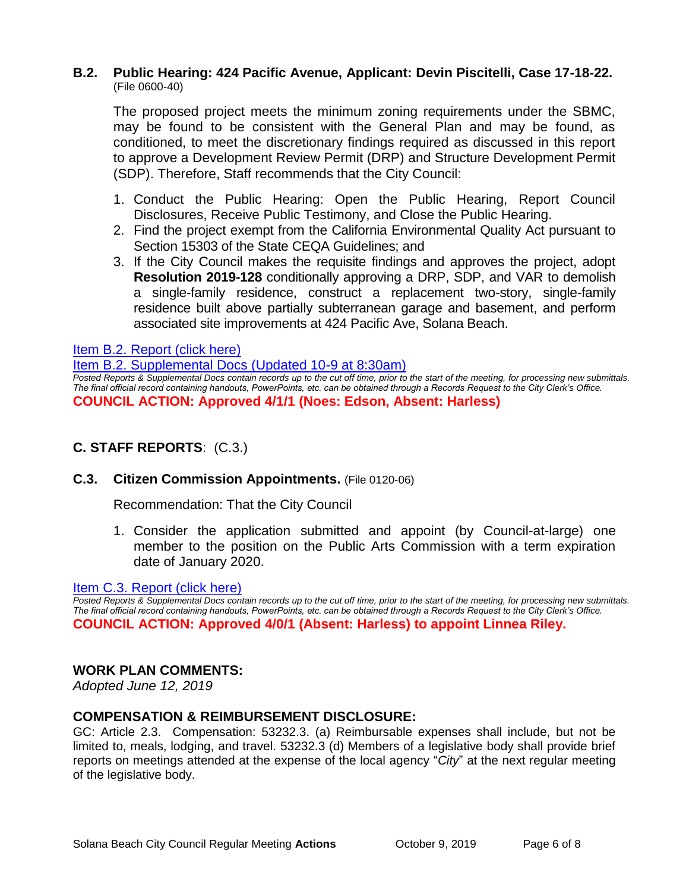#### **B.2. Public Hearing: 424 Pacific Avenue, Applicant: Devin Piscitelli, Case 17-18-22.** (File 0600-40)

The proposed project meets the minimum zoning requirements under the SBMC, may be found to be consistent with the General Plan and may be found, as conditioned, to meet the discretionary findings required as discussed in this report to approve a Development Review Permit (DRP) and Structure Development Permit (SDP). Therefore, Staff recommends that the City Council:

- 1. Conduct the Public Hearing: Open the Public Hearing, Report Council Disclosures, Receive Public Testimony, and Close the Public Hearing.
- 2. Find the project exempt from the California Environmental Quality Act pursuant to Section 15303 of the State CEQA Guidelines; and
- 3. If the City Council makes the requisite findings and approves the project, adopt **Resolution 2019-128** conditionally approving a DRP, SDP, and VAR to demolish a single-family residence, construct a replacement two-story, single-family residence built above partially subterranean garage and basement, and perform associated site improvements at 424 Pacific Ave, Solana Beach.

[Item B.2. Report \(click here\)](https://solanabeach.govoffice3.com/vertical/Sites/%7B840804C2-F869-4904-9AE3-720581350CE7%7D/uploads/Item_B.2._Report_(click_here)_10-09-19_-_O.pdf)

[Item B.2. Supplemental Docs \(Updated 10-9 at 8:30am\)](https://solanabeach.govoffice3.com/vertical/Sites/%7B840804C2-F869-4904-9AE3-720581350CE7%7D/uploads/Item_B.2._Supplemental_Docs_(10-9_at_8am)_-_O.pdf)

*Posted Reports & Supplemental Docs contain records up to the cut off time, prior to the start of the meeting, for processing new submittals. The final official record containing handouts, PowerPoints, etc. can be obtained through a Records Request to the City Clerk's Office.* **COUNCIL ACTION: Approved 4/1/1 (Noes: Edson, Absent: Harless)**

# **C. STAFF REPORTS**: (C.3.)

#### **C.3. Citizen Commission Appointments.** (File 0120-06)

Recommendation: That the City Council

1. Consider the application submitted and appoint (by Council-at-large) one member to the position on the Public Arts Commission with a term expiration date of January 2020.

[Item C.3. Report \(click here\)](https://solanabeach.govoffice3.com/vertical/Sites/%7B840804C2-F869-4904-9AE3-720581350CE7%7D/uploads/Item_C.3._Report_(click_here)_10-09-19_-_O.pdf)

*Posted Reports & Supplemental Docs contain records up to the cut off time, prior to the start of the meeting, for processing new submittals. The final official record containing handouts, PowerPoints, etc. can be obtained through a Records Request to the City Clerk's Office.* **COUNCIL ACTION: Approved 4/0/1 (Absent: Harless) to appoint Linnea Riley.** 

#### **WORK PLAN COMMENTS:**

*Adopted June 12, 2019*

#### **COMPENSATION & REIMBURSEMENT DISCLOSURE:**

GC: Article 2.3. Compensation: 53232.3. (a) Reimbursable expenses shall include, but not be limited to, meals, lodging, and travel. 53232.3 (d) Members of a legislative body shall provide brief reports on meetings attended at the expense of the local agency "*City*" at the next regular meeting of the legislative body.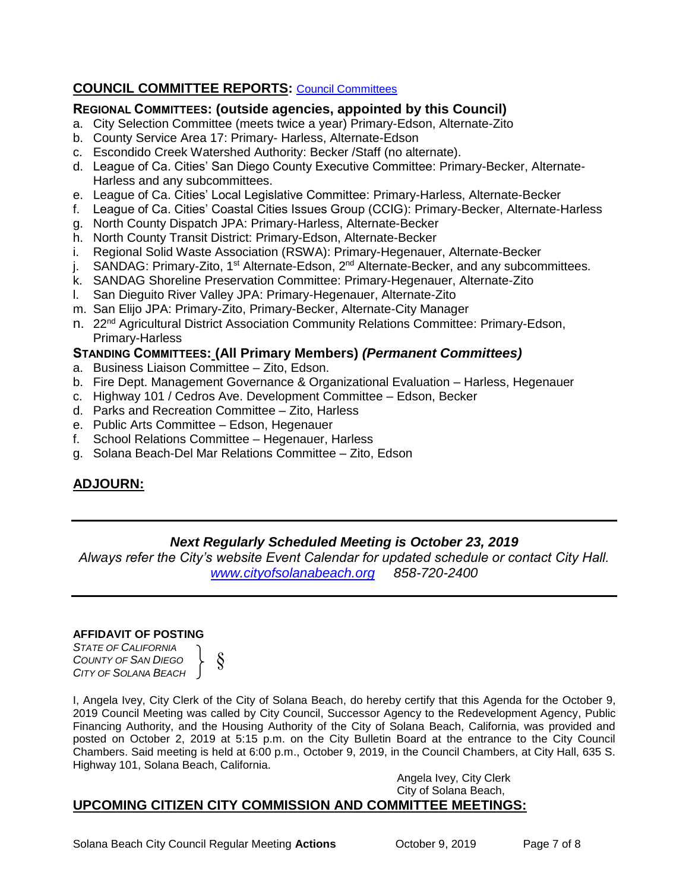# **COUNCIL COMMITTEE REPORTS:** [Council Committees](https://www.ci.solana-beach.ca.us/index.asp?SEC=584E1192-3850-46EA-B977-088AC3E81E0D&Type=B_BASIC)

## **REGIONAL COMMITTEES: (outside agencies, appointed by this Council)**

- a. City Selection Committee (meets twice a year) Primary-Edson, Alternate-Zito
- b. County Service Area 17: Primary- Harless, Alternate-Edson
- c. Escondido Creek Watershed Authority: Becker /Staff (no alternate).
- d. League of Ca. Cities' San Diego County Executive Committee: Primary-Becker, Alternate-Harless and any subcommittees.
- e. League of Ca. Cities' Local Legislative Committee: Primary-Harless, Alternate-Becker
- f. League of Ca. Cities' Coastal Cities Issues Group (CCIG): Primary-Becker, Alternate-Harless
- g. North County Dispatch JPA: Primary-Harless, Alternate-Becker
- h. North County Transit District: Primary-Edson, Alternate-Becker
- i. Regional Solid Waste Association (RSWA): Primary-Hegenauer, Alternate-Becker
- j. SANDAG: Primary-Zito, 1<sup>st</sup> Alternate-Edson, 2<sup>nd</sup> Alternate-Becker, and any subcommittees.
- k. SANDAG Shoreline Preservation Committee: Primary-Hegenauer, Alternate-Zito
- l. San Dieguito River Valley JPA: Primary-Hegenauer, Alternate-Zito
- m. San Elijo JPA: Primary-Zito, Primary-Becker, Alternate-City Manager
- n. 22nd Agricultural District Association Community Relations Committee: Primary-Edson, Primary-Harless

## **STANDING COMMITTEES: (All Primary Members)** *(Permanent Committees)*

- a. Business Liaison Committee Zito, Edson.
- b. Fire Dept. Management Governance & Organizational Evaluation Harless, Hegenauer
- c. Highway 101 / Cedros Ave. Development Committee Edson, Becker
- d. Parks and Recreation Committee Zito, Harless
- e. Public Arts Committee Edson, Hegenauer
- f. School Relations Committee Hegenauer, Harless
- g. Solana Beach-Del Mar Relations Committee Zito, Edson

# **ADJOURN:**

# *Next Regularly Scheduled Meeting is October 23, 2019*

*Always refer the City's website Event Calendar for updated schedule or contact City Hall. [www.cityofsolanabeach.org](http://www.cityofsolanabeach.org/) 858-720-2400*

#### **AFFIDAVIT OF POSTING**

*STATE OF CALIFORNIA COUNTY OF SAN DIEGO CITY OF SOLANA BEACH*



I, Angela Ivey, City Clerk of the City of Solana Beach, do hereby certify that this Agenda for the October 9, 2019 Council Meeting was called by City Council, Successor Agency to the Redevelopment Agency, Public Financing Authority, and the Housing Authority of the City of Solana Beach, California, was provided and posted on October 2, 2019 at 5:15 p.m. on the City Bulletin Board at the entrance to the City Council Chambers. Said meeting is held at 6:00 p.m., October 9, 2019, in the Council Chambers, at City Hall, 635 S. Highway 101, Solana Beach, California.

> Angela Ivey, City Clerk City of Solana Beach,

# **UPCOMING CITIZEN CITY COMMISSION AND COMMITTEE MEETINGS:**